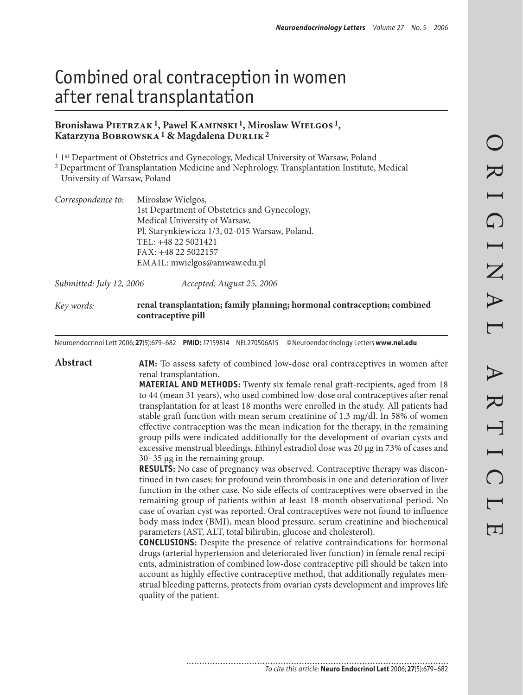# Combined oral contraception in women after renal transplantation

#### **Bronisława Pietrzak1, Pawel Kaminski 1, Miroslaw Wielgos 1, Katarzyna Bobrowska1 & Magdalena Durlik2**

1 1st Department of Obstetrics and Gynecology, Medical University of Warsaw, Poland

2 Department of Transplantation Medicine and Nephrology, Transplantation Institute, Medical University of Warsaw, Poland

| Correspondence to: | Mirosław Wielgos,                              |
|--------------------|------------------------------------------------|
|                    | 1st Department of Obstetrics and Gynecology,   |
|                    | Medical University of Warsaw,                  |
|                    | Pl. Starynkiewicza 1/3, 02-015 Warsaw, Poland. |
|                    | TEL: +48 22 5021421                            |
|                    | FAX: +48 22 5022157                            |
|                    | EMAIL: mwielgos@amwaw.edu.pl                   |

*Submitted: July 12, 2006 Accepted: August 25, 2006*

*Key words:* **renal transplantation; family planning; hormonal contraception; combined contraceptive pill**

Neuroendocrinol Lett 2006; **27**(5):679–682 **PMID:** 17159814 NEL270506A15 ©Neuroendocrinology Letters **www.nel.edu**

**Abstract AIM:** To assess safety of combined low-dose oral contraceptives in women after renal transplantation.

**MATERIAL AND METHODS:** Twenty six female renal graft-recipients, aged from 18 to 44 (mean 31 years), who used combined low-dose oral contraceptives after renal transplantation for at least 18 months were enrolled in the study. All patients had stable graft function with mean serum creatinine of 1.3 mg/dl. In 58% of women effective contraception was the mean indication for the therapy, in the remaining group pills were indicated additionally for the development of ovarian cysts and excessive menstrual bleedings. Ethinyl estradiol dose was 20 μg in 73% of cases and 30–35 μg in the remaining group.

**RESULTS:** No case of pregnancy was observed. Contraceptive therapy was discontinued in two cases: for profound vein thrombosis in one and deterioration of liver function in the other case. No side effects of contraceptives were observed in the remaining group of patients within at least 18-month observational period. No case of ovarian cyst was reported. Oral contraceptives were not found to influence body mass index (BMI), mean blood pressure, serum creatinine and biochemical parameters (AST, ALT, total bilirubin, glucose and cholesterol).

**CONCLUSIONS:** Despite the presence of relative contraindications for hormonal drugs (arterial hypertension and deteriorated liver function) in female renal recipients, administration of combined low-dose contraceptive pill should be taken into account as highly effective contraceptive method, that additionally regulates menstrual bleeding patterns, protects from ovarian cysts development and improves life quality of the patient.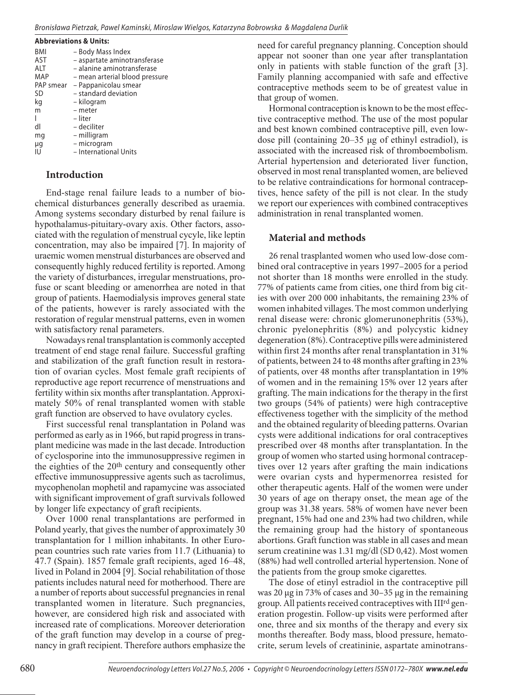| <b>Abbreviations &amp; Units:</b> |                                |  |  |
|-----------------------------------|--------------------------------|--|--|
| BMI                               | – Body Mass Index              |  |  |
| <b>AST</b>                        | - aspartate aminotransferase   |  |  |
| <b>ALT</b>                        | - alanine aminotransferase     |  |  |
| MAP                               | – mean arterial blood pressure |  |  |
| PAP smear                         | - Pappanicolau smear           |  |  |
| SD                                | - standard deviation           |  |  |
| kg                                | – kilogram                     |  |  |
| m                                 | - meter                        |  |  |
|                                   | – liter                        |  |  |
| dl                                | – deciliter                    |  |  |
| mg                                | – milligram                    |  |  |
| μg                                | - microgram                    |  |  |
| I I                               | - International Units          |  |  |

## **Introduction**

End-stage renal failure leads to a number of biochemical disturbances generally described as uraemia. Among systems secondary disturbed by renal failure is hypothalamus-pituitary-ovary axis. Other factors, associated with the regulation of menstrual cycyle, like leptin concentration, may also be impaired [7]. In majority of uraemic women menstrual disturbances are observed and consequently highly reduced fertility is reported. Among the variety of disturbances, irregular menstruations, profuse or scant bleeding or amenorrhea are noted in that group of patients. Haemodialysis improves general state of the patients, however is rarely associated with the restoration of regular menstrual patterns, even in women with satisfactory renal parameters.

Nowadays renal transplantation is commonly accepted treatment of end stage renal failure. Successful grafting and stabilization of the graft function result in restoration of ovarian cycles. Most female graft recipients of reproductive age report recurrence of menstruations and fertility within six months after transplantation. Approximately 50% of renal transplanted women with stable graft function are observed to have ovulatory cycles.

First successful renal transplantation in Poland was performed as early as in 1966, but rapid progress in transplant medicine was made in the last decade. Introduction of cyclosporine into the immunosuppressive regimen in the eighties of the 20th century and consequently other effective immunosuppressive agents such as tacrolimus, mycophenolan mophetil and rapamycine was associated with significant improvement of graft survivals followed by longer life expectancy of graft recipients.

Over 1000 renal transplantations are performed in Poland yearly, that gives the number of approximately 30 transplantation for 1 million inhabitants. In other European countries such rate varies from 11.7 (Lithuania) to 47.7 (Spain). 1857 female graft recipients, aged 16–48, lived in Poland in 2004 [9]. Social rehabilitation of those patients includes natural need for motherhood. There are a number of reports about successful pregnancies in renal transplanted women in literature. Such pregnancies, however, are considered high risk and associated with increased rate of complications. Moreover deterioration of the graft function may develop in a course of pregnancy in graft recipient. Therefore authors emphasize the need for careful pregnancy planning. Conception should appear not sooner than one year after transplantation only in patients with stable function of the graft [3]. Family planning accompanied with safe and effective contraceptive methods seem to be of greatest value in that group of women.

Hormonal contraception is known to be the most effective contraceptive method. The use of the most popular and best known combined contraceptive pill, even lowdose pill (containing 20–35 μg of ethinyl estradiol), is associated with the increased risk of thromboembolism. Arterial hypertension and deteriorated liver function, observed in most renal transplanted women, are believed to be relative contraindications for hormonal contraceptives, hence safety of the pill is not clear. In the study we report our experiences with combined contraceptives administration in renal transplanted women.

## **Material and methods**

26 renal trasplanted women who used low-dose combined oral contraceptive in years 1997–2005 for a period not shorter than 18 months were enrolled in the study. 77% of patients came from cities, one third from big cities with over 200 000 inhabitants, the remaining 23% of women inhabited villages. The most common underlying renal disease were: chronic glomerunonephritis (53%), chronic pyelonephritis (8%) and polycystic kidney degeneration (8%). Contraceptive pills were administered within first 24 months after renal transplantation in 31% of patients, between 24 to 48 months after grafting in 23% of patients, over 48 months after transplantation in 19% of women and in the remaining 15% over 12 years after grafting. The main indications for the therapy in the first two groups (54% of patients) were high contraceptive effectiveness together with the simplicity of the method and the obtained regularity of bleeding patterns. Ovarian cysts were additional indications for oral contraceptives prescribed over 48 months after transplantation. In the group of women who started using hormonal contraceptives over 12 years after grafting the main indications were ovarian cysts and hypermenorrea resisted for other therapeutic agents. Half of the women were under 30 years of age on therapy onset, the mean age of the group was 31.38 years. 58% of women have never been pregnant, 15% had one and 23% had two children, while the remaining group had the history of spontaneous abortions. Graft function was stable in all cases and mean serum creatinine was 1.31 mg/dl (SD 0,42). Most women (88%) had well controlled arterial hypertension. None of the patients from the group smoke cigarettes.

The dose of etinyl estradiol in the contraceptive pill was 20 μg in 73% of cases and 30–35 μg in the remaining group. All patients received contraceptives with IIIrd generation progestin. Follow-up visits were performed after one, three and six months of the therapy and every six months thereafter. Body mass, blood pressure, hematocrite, serum levels of creatininie, aspartate aminotrans-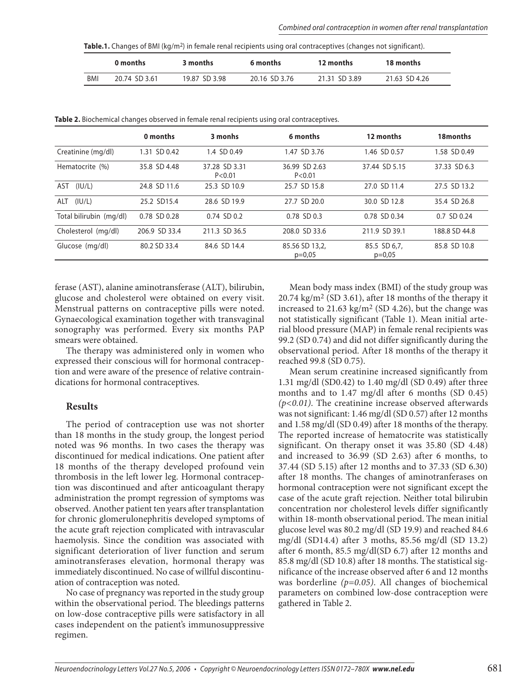| Table.1. Changes of BMI (kg/m <sup>2</sup> ) in female renal recipients using oral contraceptives (changes not significant). |  |  |  |
|------------------------------------------------------------------------------------------------------------------------------|--|--|--|
|------------------------------------------------------------------------------------------------------------------------------|--|--|--|

|     | 0 months      | 3 months      | 6 months      | 12 months     | 18 months     |
|-----|---------------|---------------|---------------|---------------|---------------|
| BMI | 20.74 SD 3.61 | 19.87 SD 3.98 | 20.16 SD 3.76 | 21.31 SD 3.89 | 21.63 SD 4.26 |

| Table 2. Biochemical changes observed in female renal recipients using oral contraceptives. |  |  |
|---------------------------------------------------------------------------------------------|--|--|
|---------------------------------------------------------------------------------------------|--|--|

|                         | 0 months      | 3 monhs                   | 6 months                   | 12 months                | 18months      |
|-------------------------|---------------|---------------------------|----------------------------|--------------------------|---------------|
| Creatinine (mg/dl)      | 1.31 SD 0.42  | 1.4 SD 0.49               | 1.47 SD 3.76               | 1.46 SD 0.57             | 1.58 SD 0.49  |
| Hematocrite (%)         | 35.8 SD 4.48  | 37.28 SD 3.31<br>P < 0.01 | 36.99 SD 2.63<br>P < 0.01  | 37.44 SD 5.15            | 37.33 SD 6.3  |
| (IU/L)<br>AST           | 24.8 SD 11.6  | 25.3 SD 10.9              | 25.7 SD 15.8               | 27.0 SD 11.4             | 27.5 SD 13.2  |
| $ALT$ ( $ U/L\rangle$ ) | 25.2 SD15.4   | 28.6 SD 19.9              | 27.7 SD 20.0               | 30.0 SD 12.8             | 35.4 SD 26.8  |
| Total bilirubin (mg/dl) | 0.78 SD 0.28  | $0.74$ SD $0.2$           | 0.78 SD 0.3                | 0.78 SD 0.34             | 0.7 SD 0.24   |
| Cholesterol (mg/dl)     | 206.9 SD 33.4 | 211.3 SD 36.5             | 208.0 SD 33.6              | 211.9 SD 39.1            | 188.8 SD 44.8 |
| Glucose (mg/dl)         | 80.2 SD 33.4  | 84.6 SD 14.4              | 85.56 SD 13,2,<br>$p=0.05$ | 85.5 SD 6,7,<br>$p=0.05$ | 85.8 SD 10.8  |

ferase (AST), alanine aminotransferase (ALT), bilirubin, glucose and cholesterol were obtained on every visit. Menstrual patterns on contraceptive pills were noted. Gynaecological examination together with transvaginal sonography was performed. Every six months PAP smears were obtained.

The therapy was administered only in women who expressed their conscious will for hormonal contraception and were aware of the presence of relative contraindications for hormonal contraceptives.

#### **Results**

The period of contraception use was not shorter than 18 months in the study group, the longest period noted was 96 months. In two cases the therapy was discontinued for medical indications. One patient after 18 months of the therapy developed profound vein thrombosis in the left lower leg. Hormonal contraception was discontinued and after anticoagulant therapy administration the prompt regression of symptoms was observed. Another patient ten years after transplantation for chronic glomerulonephritis developed symptoms of the acute graft rejection complicated with intravascular haemolysis. Since the condition was associated with significant deterioration of liver function and serum aminotransferases elevation, hormonal therapy was immediately discontinued. No case of willful discontinuation of contraception was noted.

No case of pregnancy was reported in the study group within the observational period. The bleedings patterns on low-dose contraceptive pills were satisfactory in all cases independent on the patient's immunosuppressive regimen.

Mean body mass index (BMI) of the study group was  $20.74 \text{ kg/m}^2$  (SD 3.61), after 18 months of the therapy it increased to 21.63 kg/m2 (SD 4.26), but the change was not statistically significant (Table 1). Mean initial arterial blood pressure (MAP) in female renal recipients was 99.2 (SD 0.74) and did not differ significantly during the observational period. After 18 months of the therapy it reached 99.8 (SD 0.75).

Mean serum creatinine increased significantly from 1.31 mg/dl (SD0.42) to 1.40 mg/dl (SD 0.49) after three months and to 1.47 mg/dl after 6 months (SD 0.45) *(p<0.01)*. The creatinine increase observed afterwards was not significant: 1.46 mg/dl (SD 0.57) after 12 months and 1.58 mg/dl (SD 0.49) after 18 months of the therapy. The reported increase of hematocrite was statistically significant. On therapy onset it was 35.80 (SD 4.48) and increased to 36.99 (SD 2.63) after 6 months, to 37.44 (SD 5.15) after 12 months and to 37.33 (SD 6.30) after 18 months. The changes of aminotranferases on hormonal contraception were not significant except the case of the acute graft rejection. Neither total bilirubin concentration nor cholesterol levels differ significantly within 18-month observational period. The mean initial glucose level was 80.2 mg/dl (SD 19.9) and reached 84.6 mg/dl (SD14.4) after 3 moths, 85.56 mg/dl (SD 13.2) after 6 month, 85.5 mg/dl(SD 6.7) after 12 months and 85.8 mg/dl (SD 10.8) after 18 months. The statistical significance of the increase observed after 6 and 12 months was borderline *(p=0.05)*. All changes of biochemical parameters on combined low-dose contraception were gathered in Table 2.